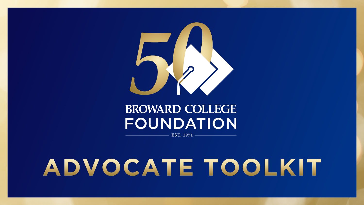

## **BROWARD COLLEGE** FOUNDATION EST. 1971

ADVOCATE TOOLKIT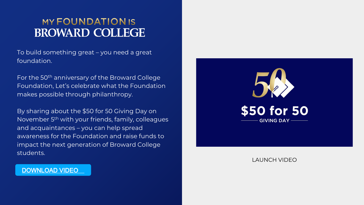## **MY FOUNDATION IS BROWARD COLLEGE**

To build something great – you need a great foundation.

For the 50th anniversary of the Broward College Foundation, Let's celebrate what the Foundation makes possible through philanthropy.

By sharing about the \$50 for 50 Giving Day on November 5th with your friends, family, colleagues and acquaintances – you can help spread awareness for the Foundation and raise funds to impact the next generation of Broward College students.



LAUNCH VIDEO

[DOWNLOAD VIDEO](https://www.dropbox.com/s/n0c5hedd0xztorq/BC_FullVideo7.mp4?dl=0)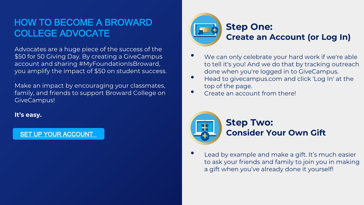## HOW TO BECOME A BROWARD COLLEGE ADVOCATE

Advocates are a huge piece of the success of the \$50 for 50 Giving Day. By creating a GiveCampus account and sharing #MyFoundationIsBroward, you amplify the impact of \$50 on student success.

Make an impact by encouraging your classmates, family, and friends to support Broward College on GiveCampus!

**It's easy.** 

### [SET UP YOUR ACCOUNT](https://www.dropbox.com/s/2srmsdgr6olr6xd/zoom.jpg?dl=0)



- We can only celebrate your hard work if we're able to tell it's you! And we do that by tracking outreach done when you're logged in to GiveCampus.
- Head to givecampus.com and click 'Log In' at the top of the page.
- Create an account from there!



Lead by example and make a gift. It's much easier to ask your friends and family to join you in making a gift when you've already done it yourself!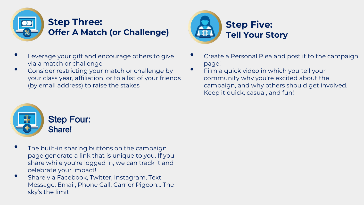

- Leverage your gift and encourage others to give via a match or challenge.
- Consider restricting your match or challenge by your class year, affiliation, or to a list of your friends (by email address) to raise the stakes



- Create a Personal Plea and post it to the campaign page!
- Film a quick video in which you tell your community why you're excited about the campaign, and why others should get involved. Keep it quick, casual, and fun!



- The built-in sharing buttons on the campaign page generate a link that is unique to you. If you share while you're logged in, we can track it and celebrate your impact!
- Share via Facebook, Twitter, Instagram, Text Message, Email, Phone Call, Carrier Pigeon… The sky's the limit!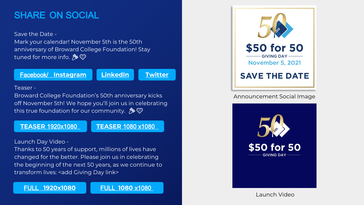## SHARE ON SOCIAL

Save the Date -

Mark your calendar! November 5th is the 50th anniversary of Broward College Foundation! Stay tuned for more info. & ©

Facebook/ **[Instagram](https://www.dropbox.com/s/3mr395o6rgpv3kg/fb%20_%20twitter%20large.png?dl=0)**

**[LinkedIn](https://www.dropbox.com/s/3mr395o6rgpv3kg/fb%20_%20twitter%20large.png?dl=0) [Twitter](https://www.dropbox.com/s/3mr395o6rgpv3kg/fb%20_%20twitter%20large.png?dl=0)**

#### Teaser -

Broward College Foundation's 50th anniversary kicks off November 5th! We hope you'll join us in celebrating this true foundation for our community.  $\mathcal{L} \otimes \mathbb{Q}$ 

#### **TEASER** [1920x1080](https://www.dropbox.com/s/g5bqifbl9ic009o/Start%20Strong%20BC%20v5.mp4?dl=0)

#### **TEASER** [1080 x1080](https://www.dropbox.com/s/g5bqifbl9ic009o/Start%20Strong%20BC%20v5.mp4?dl=0)

Launch Day Video -

Thanks to 50 years of support, millions of lives have changed for the better. Please join us in celebrating the beginning of the next 50 years, as we continue to transform lives: <add Giving Day link>

FULL **[1920x1080](https://www.dropbox.com/s/g5bqifbl9ic009o/Start%20Strong%20BC%20v5.mp4?dl=0)** FULL **1080** [x1080](https://www.dropbox.com/s/g5bqifbl9ic009o/Start%20Strong%20BC%20v5.mp4?dl=0)



#### Announcement Social Image



Launch Video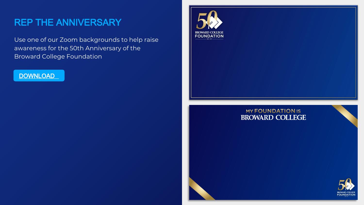## REP THE ANNIVERSARY

Use one of our Zoom backgrounds to help raise awareness for the 50th Anniversary of the Broward College Foundation





#### **MY FOUNDATION IS BROWARD COLLEGE**